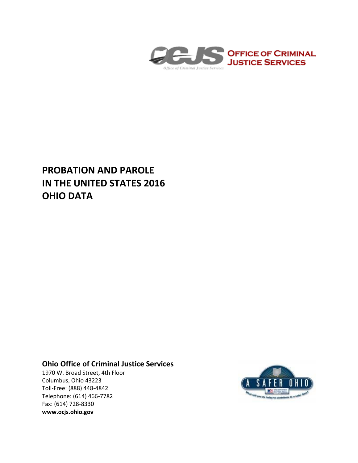

# **PROBATION AND PAROLE IN THE UNITED STATES 2016 OHIO DATA**

## **Ohio Office of Criminal Justice Services**

1970 W. Broad Street, 4th Floor Columbus, Ohio 43223 Toll-Free: (888) 448-4842 Telephone: (614) 466-7782 Fax: (614) 728-8330 **www.ocjs.ohio.gov**

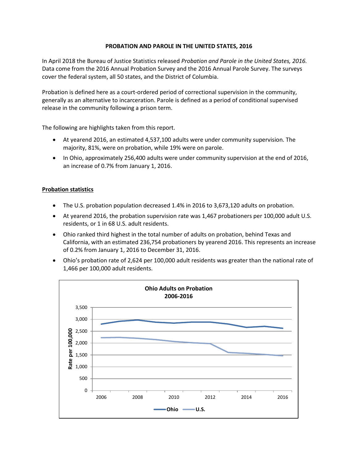### **PROBATION AND PAROLE IN THE UNITED STATES, 2016**

In April 2018 the Bureau of Justice Statistics released *Probation and Parole in the United States, 2016.*  Data come from the 2016 Annual Probation Survey and the 2016 Annual Parole Survey. The surveys cover the federal system, all 50 states, and the District of Columbia.

Probation is defined here as a court-ordered period of correctional supervision in the community, generally as an alternative to incarceration. Parole is defined as a period of conditional supervised release in the community following a prison term.

The following are highlights taken from this report.

- At yearend 2016, an estimated 4,537,100 adults were under community supervision. The majority, 81%, were on probation, while 19% were on parole.
- In Ohio, approximately 256,400 adults were under community supervision at the end of 2016, an increase of 0.7% from January 1, 2016.

### **Probation statistics**

- The U.S. probation population decreased 1.4% in 2016 to 3,673,120 adults on probation.
- At yearend 2016, the probation supervision rate was 1,467 probationers per 100,000 adult U.S. residents, or 1 in 68 U.S. adult residents.
- Ohio ranked third highest in the total number of adults on probation, behind Texas and California, with an estimated 236,754 probationers by yearend 2016. This represents an increase of 0.2% from January 1, 2016 to December 31, 2016.
- Ohio's probation rate of 2,624 per 100,000 adult residents was greater than the national rate of 1,466 per 100,000 adult residents.

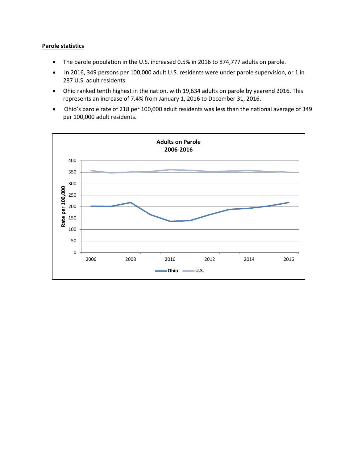#### **Parole statistics**

- The parole population in the U.S. increased 0.5% in 2016 to 874,777 adults on parole.
- In 2016, 349 persons per 100,000 adult U.S. residents were under parole supervision, or 1 in 287 U.S. adult residents.
- Ohio ranked tenth highest in the nation, with 19,634 adults on parole by yearend 2016. This represents an increase of 7.4% from January 1, 2016 to December 31, 2016.
- Ohio's parole rate of 218 per 100,000 adult residents was less than the national average of 349 per 100,000 adult residents.